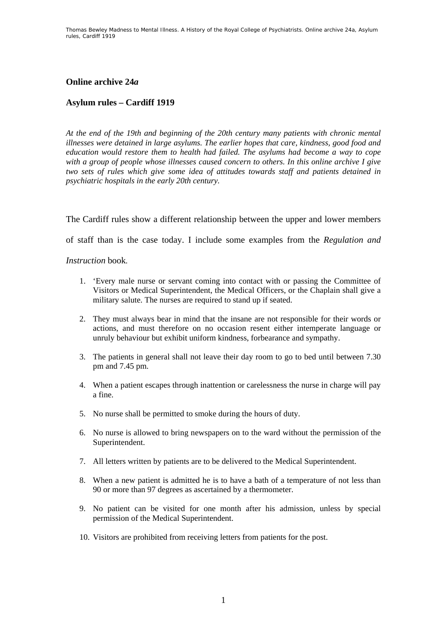## **Online archive 24***a*

## **Asylum rules – Cardiff 1919**

*At the end of the 19th and beginning of the 20th century many patients with chronic mental illnesses were detained in large asylums. The earlier hopes that care, kindness, good food and education would restore them to health had failed. The asylums had become a way to cope with a group of people whose illnesses caused concern to others. In this online archive I give two sets of rules which give some idea of attitudes towards staff and patients detained in psychiatric hospitals in the early 20th century.* 

The Cardiff rules show a different relationship between the upper and lower members

of staff than is the case today. I include some examples from the *Regulation and* 

*Instruction* book*.* 

- 1. 'Every male nurse or servant coming into contact with or passing the Committee of Visitors or Medical Superintendent, the Medical Officers, or the Chaplain shall give a military salute. The nurses are required to stand up if seated.
- 2. They must always bear in mind that the insane are not responsible for their words or actions, and must therefore on no occasion resent either intemperate language or unruly behaviour but exhibit uniform kindness, forbearance and sympathy.
- 3. The patients in general shall not leave their day room to go to bed until between 7.30 pm and 7.45 pm.
- 4. When a patient escapes through inattention or carelessness the nurse in charge will pay a fine.
- 5. No nurse shall be permitted to smoke during the hours of duty.
- 6. No nurse is allowed to bring newspapers on to the ward without the permission of the Superintendent.
- 7. All letters written by patients are to be delivered to the Medical Superintendent.
- 8. When a new patient is admitted he is to have a bath of a temperature of not less than 90 or more than 97 degrees as ascertained by a thermometer.
- 9. No patient can be visited for one month after his admission, unless by special permission of the Medical Superintendent.
- 10. Visitors are prohibited from receiving letters from patients for the post.